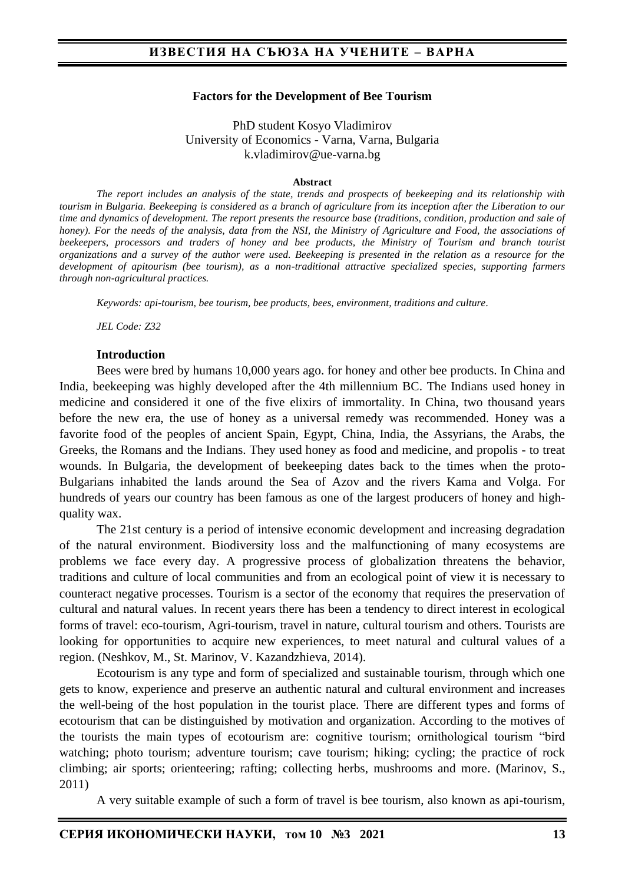#### **Factors for the Development of Bee Tourism**

PhD student Kosyo Vladimirov University of Economics - Varna, Varna, Bulgaria k.vladimirov@ue-varna.bg

#### **Abstract**

*The report includes an analysis of the state, trends and prospects of beekeeping and its relationship with tourism in Bulgaria. Beekeeping is considered as a branch of agriculture from its inception after the Liberation to our time and dynamics of development. The report presents the resource base (traditions, condition, production and sale of honey). For the needs of the analysis, data from the NSI, the Ministry of Agriculture and Food, the associations of beekeepers, processors and traders of honey and bee products, the Ministry of Tourism and branch tourist organizations and a survey of the author were used. Beekeeping is presented in the relation as a resource for the development of apitourism (bee tourism), as a non-traditional attractive specialized species, supporting farmers through non-agricultural practices.*

*Keywords: api-tourism, bee tourism, bee products, bees, environment, traditions and culture.*

*JEL Code: Z32*

#### **Introduction**

Bees were bred by humans 10,000 years ago. for honey and other bee products. In China and India, beekeeping was highly developed after the 4th millennium BC. The Indians used honey in medicine and considered it one of the five elixirs of immortality. In China, two thousand years before the new era, the use of honey as a universal remedy was recommended. Honey was a favorite food of the peoples of ancient Spain, Egypt, China, India, the Assyrians, the Arabs, the Greeks, the Romans and the Indians. They used honey as food and medicine, and propolis - to treat wounds. In Bulgaria, the development of beekeeping dates back to the times when the proto-Bulgarians inhabited the lands around the Sea of Azov and the rivers Kama and Volga. For hundreds of years our country has been famous as one of the largest producers of honey and highquality wax.

The 21st century is a period of intensive economic development and increasing degradation of the natural environment. Biodiversity loss and the malfunctioning of many ecosystems are problems we face every day. A progressive process of globalization threatens the behavior, traditions and culture of local communities and from an ecological point of view it is necessary to counteract negative processes. Tourism is a sector of the economy that requires the preservation of cultural and natural values. In recent years there has been a tendency to direct interest in ecological forms of travel: eco-tourism, Agri-tourism, travel in nature, cultural tourism and others. Tourists are looking for opportunities to acquire new experiences, to meet natural and cultural values of a region. (Neshkov, M., St. Marinov, V. Kazandzhieva, 2014).

Ecotourism is any type and form of specialized and sustainable tourism, through which one gets to know, experience and preserve an authentic natural and cultural environment and increases the well-being of the host population in the tourist place. There are different types and forms of ecotourism that can be distinguished by motivation and organization. According to the motives of the tourists the main types of ecotourism are: cognitive tourism; ornithological tourism "bird watching; photo tourism; adventure tourism; cave tourism; hiking; cycling; the practice of rock climbing; air sports; orienteering; rafting; collecting herbs, mushrooms and more. (Marinov, S., 2011)

A very suitable example of such a form of travel is bee tourism, also known as api-tourism,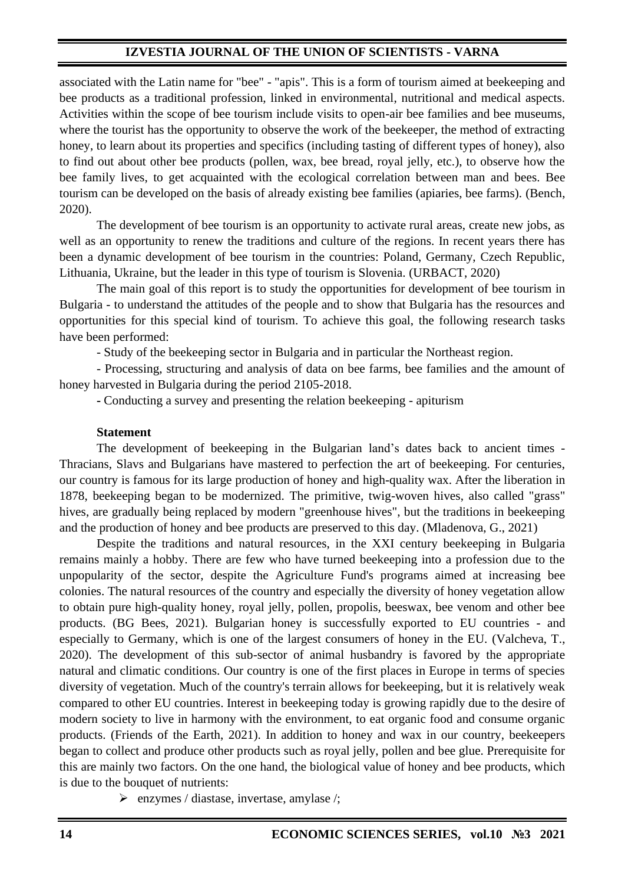associated with the Latin name for "bee" - "apis". This is a form of tourism aimed at beekeeping and bee products as a traditional profession, linked in environmental, nutritional and medical aspects. Activities within the scope of bee tourism include visits to open-air bee families and bee museums, where the tourist has the opportunity to observe the work of the beekeeper, the method of extracting honey, to learn about its properties and specifics (including tasting of different types of honey), also to find out about other bee products (pollen, wax, bee bread, royal jelly, etc.), to observe how the bee family lives, to get acquainted with the ecological correlation between man and bees. Bee tourism can be developed on the basis of already existing bee families (apiaries, bee farms). (Bench, 2020).

The development of bee tourism is an opportunity to activate rural areas, create new jobs, as well as an opportunity to renew the traditions and culture of the regions. In recent years there has been a dynamic development of bee tourism in the countries: Poland, Germany, Czech Republic, Lithuania, Ukraine, but the leader in this type of tourism is Slovenia. (URBACT, 2020)

The main goal of this report is to study the opportunities for development of bee tourism in Bulgaria - to understand the attitudes of the people and to show that Bulgaria has the resources and opportunities for this special kind of tourism. To achieve this goal, the following research tasks have been performed:

- Study of the beekeeping sector in Bulgaria and in particular the Northeast region.

- Processing, structuring and analysis of data on bee farms, bee families and the amount of honey harvested in Bulgaria during the period 2105-2018.

**-** Conducting a survey and presenting the relation beekeeping - apiturism

#### **Statement**

The development of beekeeping in the Bulgarian land's dates back to ancient times - Thracians, Slavs and Bulgarians have mastered to perfection the art of beekeeping. For centuries, our country is famous for its large production of honey and high-quality wax. After the liberation in 1878, beekeeping began to be modernized. The primitive, twig-woven hives, also called "grass" hives, are gradually being replaced by modern "greenhouse hives", but the traditions in beekeeping and the production of honey and bee products are preserved to this day. (Mladenova, G., 2021)

Despite the traditions and natural resources, in the XXI century beekeeping in Bulgaria remains mainly a hobby. There are few who have turned beekeeping into a profession due to the unpopularity of the sector, despite the Agriculture Fund's programs aimed at increasing bee colonies. The natural resources of the country and especially the diversity of honey vegetation allow to obtain pure high-quality honey, royal jelly, pollen, propolis, beeswax, bee venom and other bee products. (BG Bees, 2021). Bulgarian honey is successfully exported to EU countries - and especially to Germany, which is one of the largest consumers of honey in the EU. (Valcheva, T., 2020). The development of this sub-sector of animal husbandry is favored by the appropriate natural and climatic conditions. Our country is one of the first places in Europe in terms of species diversity of vegetation. Much of the country's terrain allows for beekeeping, but it is relatively weak compared to other EU countries. Interest in beekeeping today is growing rapidly due to the desire of modern society to live in harmony with the environment, to eat organic food and consume organic products. (Friends of the Earth, 2021). In addition to honey and wax in our country, beekeepers began to collect and produce other products such as royal jelly, pollen and bee glue. Prerequisite for this are mainly two factors. On the one hand, the biological value of honey and bee products, which is due to the bouquet of nutrients:

 $\triangleright$  enzymes / diastase, invertase, amylase /;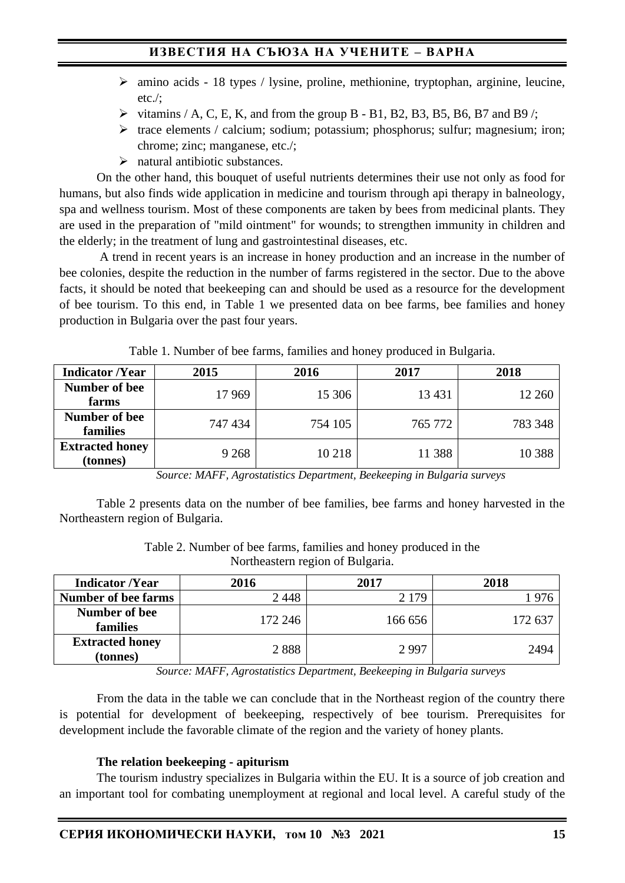# **ИЗВЕСТИЯ НА СЪЮЗА НА УЧЕНИТЕ – ВАРНА**

- ➢ amino acids 18 types / lysine, proline, methionine, tryptophan, arginine, leucine, etc./;
- $\triangleright$  vitamins / A, C, E, K, and from the group B B1, B2, B3, B5, B6, B7 and B9 /;
- ➢ trace elements / calcium; sodium; potassium; phosphorus; sulfur; magnesium; iron; chrome; zinc; manganese, etc./;
- $\triangleright$  natural antibiotic substances.

On the other hand, this bouquet of useful nutrients determines their use not only as food for humans, but also finds wide application in medicine and tourism through api therapy in balneology, spa and wellness tourism. Most of these components are taken by bees from medicinal plants. They are used in the preparation of "mild ointment" for wounds; to strengthen immunity in children and the elderly; in the treatment of lung and gastrointestinal diseases, etc.

A trend in recent years is an increase in honey production and an increase in the number of bee colonies, despite the reduction in the number of farms registered in the sector. Due to the above facts, it should be noted that beekeeping can and should be used as a resource for the development of bee tourism. To this end, in Table 1 we presented data on bee farms, bee families and honey production in Bulgaria over the past four years.

| <b>Indicator /Year</b>             | 2015    | 2016    | 2017    | 2018     |
|------------------------------------|---------|---------|---------|----------|
| Number of bee<br>farms             | 17969   | 15 30 6 | 13 4 31 | 12 260   |
| Number of bee<br>families          | 747 434 | 754 105 | 765 772 | 783 348  |
| <b>Extracted honey</b><br>(tonnes) | 9 2 6 8 | 10 218  | 11 388  | 10 3 8 8 |

Table 1. Number of bee farms, families and honey produced in Bulgaria.

*Source: MAFF, Agrostatistics Department, Beekeeping in Bulgaria surveys*

Table 2 presents data on the number of bee families, bee farms and honey harvested in the Northeastern region of Bulgaria.

Table 2. Number of bee farms, families and honey produced in the Northeastern region of Bulgaria.

| <b>Indicator /Year</b>             | 2016    | 2017    | 2018    |
|------------------------------------|---------|---------|---------|
| <b>Number of bee farms</b>         | 2448    | 2 1 7 9 |         |
| Number of bee<br>families          | 172 246 | 166 656 | 172 637 |
| <b>Extracted honey</b><br>(tonnes) | 2888    | 2997    | 2494    |

*Source: MAFF, Agrostatistics Department, Beekeeping in Bulgaria surveys*

From the data in the table we can conclude that in the Northeast region of the country there is potential for development of beekeeping, respectively of bee tourism. Prerequisites for development include the favorable climate of the region and the variety of honey plants.

#### **The relation beekeeping - apiturism**

The tourism industry specializes in Bulgaria within the EU. It is a source of job creation and an important tool for combating unemployment at regional and local level. A careful study of the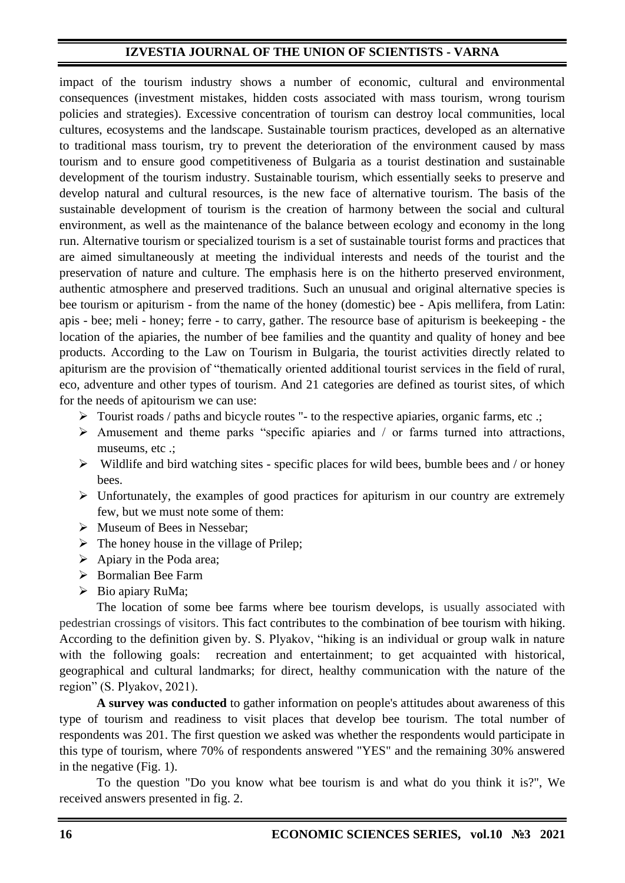impact of the tourism industry shows a number of economic, cultural and environmental consequences (investment mistakes, hidden costs associated with mass tourism, wrong tourism policies and strategies). Excessive concentration of tourism can destroy local communities, local cultures, ecosystems and the landscape. Sustainable tourism practices, developed as an alternative to traditional mass tourism, try to prevent the deterioration of the environment caused by mass tourism and to ensure good competitiveness of Bulgaria as a tourist destination and sustainable development of the tourism industry. Sustainable tourism, which essentially seeks to preserve and develop natural and cultural resources, is the new face of alternative tourism. The basis of the sustainable development of tourism is the creation of harmony between the social and cultural environment, as well as the maintenance of the balance between ecology and economy in the long run. Alternative tourism or specialized tourism is a set of sustainable tourist forms and practices that are aimed simultaneously at meeting the individual interests and needs of the tourist and the preservation of nature and culture. The emphasis here is on the hitherto preserved environment, authentic atmosphere and preserved traditions. Such an unusual and original alternative species is bee tourism or apiturism - from the name of the honey (domestic) bee - Apis mellifera, from Latin: apis - bee; meli - honey; ferre - to carry, gather. The resource base of apiturism is beekeeping - the location of the apiaries, the number of bee families and the quantity and quality of honey and bee products. According to the Law on Tourism in Bulgaria, the tourist activities directly related to apiturism are the provision of "thematically oriented additional tourist services in the field of rural, eco, adventure and other types of tourism. And 21 categories are defined as tourist sites, of which for the needs of apitourism we can use:

- ➢ Tourist roads / paths and bicycle routes "- to the respective apiaries, organic farms, etc .;
- $\triangleright$  Amusement and theme parks "specific apiaries and / or farms turned into attractions, museums, etc .;
- $\triangleright$  Wildlife and bird watching sites specific places for wild bees, bumble bees and / or honey bees.
- ➢ Unfortunately, the examples of good practices for apiturism in our country are extremely few, but we must note some of them:
- ➢ Museum of Bees in Nessebar;
- $\triangleright$  The honey house in the village of Prilep;
- $\triangleright$  Apiary in the Poda area;
- ➢ Bormalian Bee Farm
- ➢ Bio apiary RuMa;

The location of some bee farms where bee tourism develops, is usually associated with pedestrian crossings of visitors. Тhis fact contributes to the combination of bee tourism with hiking. According to the definition given by. S. Plyakov, "hiking is an individual or group walk in nature with the following goals: recreation and entertainment; to get acquainted with historical, geographical and cultural landmarks; for direct, healthy communication with the nature of the region" (S. Plyakov, 2021).

**A survey was conducted** to gather information on people's attitudes about awareness of this type of tourism and readiness to visit places that develop bee tourism. The total number of respondents was 201. The first question we asked was whether the respondents would participate in this type of tourism, where 70% of respondents answered "YES" and the remaining 30% answered in the negative (Fig. 1).

To the question "Do you know what bee tourism is and what do you think it is?", We received answers presented in fig. 2.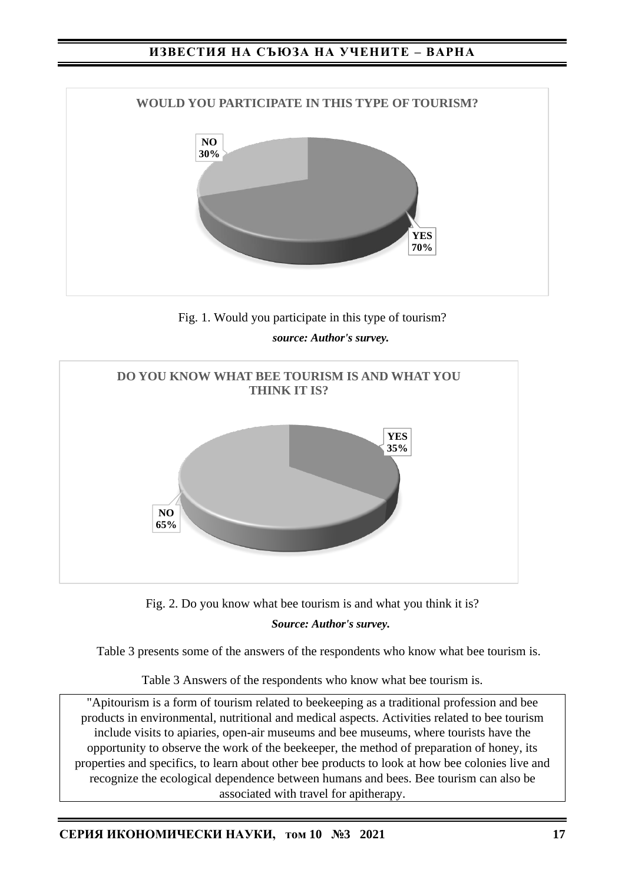## **ИЗВЕСТИЯ НА СЪЮЗА НА УЧЕНИТЕ – ВАРНА**







Fig. 2. Do you know what bee tourism is and what you think it is?

*Source: Author's survey.*

Table 3 presents some of the answers of the respondents who know what bee tourism is.

Table 3 Answers of the respondents who know what bee tourism is.

"Apitourism is a form of tourism related to beekeeping as a traditional profession and bee products in environmental, nutritional and medical aspects. Activities related to bee tourism include visits to apiaries, open-air museums and bee museums, where tourists have the opportunity to observe the work of the beekeeper, the method of preparation of honey, its properties and specifics, to learn about other bee products to look at how bee colonies live and recognize the ecological dependence between humans and bees. Bee tourism can also be associated with travel for apitherapy.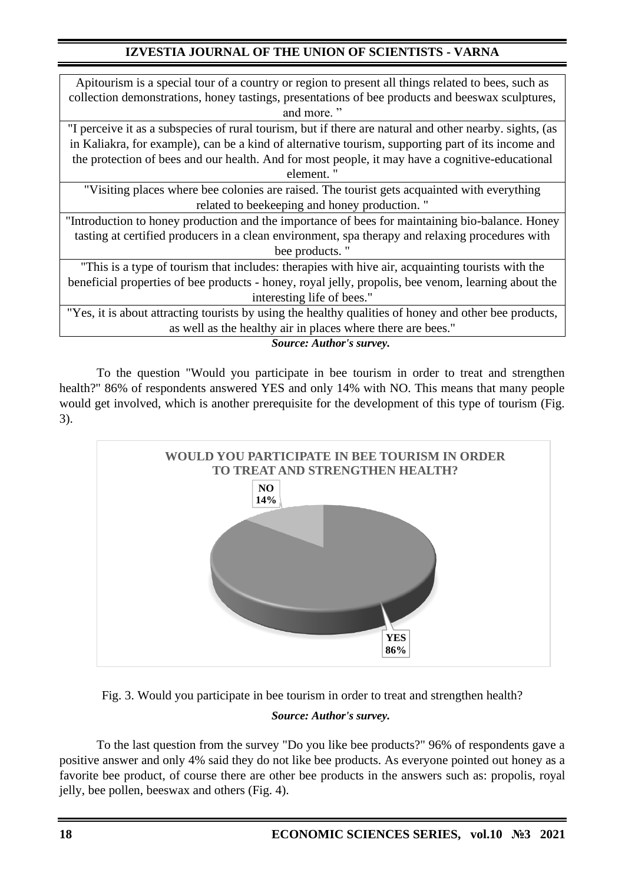| Apitourism is a special tour of a country or region to present all things related to bees, such as      |  |  |  |  |
|---------------------------------------------------------------------------------------------------------|--|--|--|--|
| collection demonstrations, honey tastings, presentations of bee products and beeswax sculptures,        |  |  |  |  |
| and more."                                                                                              |  |  |  |  |
| "I perceive it as a subspecies of rural tourism, but if there are natural and other nearby. sights, (as |  |  |  |  |
| in Kaliakra, for example), can be a kind of alternative tourism, supporting part of its income and      |  |  |  |  |
| the protection of bees and our health. And for most people, it may have a cognitive-educational         |  |  |  |  |
| element."                                                                                               |  |  |  |  |
| "Visiting places where bee colonies are raised. The tourist gets acquainted with everything             |  |  |  |  |
| related to beekeeping and honey production."                                                            |  |  |  |  |
| "Introduction to honey production and the importance of bees for maintaining bio-balance. Honey         |  |  |  |  |
| tasting at certified producers in a clean environment, spa therapy and relaxing procedures with         |  |  |  |  |
| bee products."                                                                                          |  |  |  |  |
| "This is a type of tourism that includes: therapies with hive air, acquainting tourists with the        |  |  |  |  |
| beneficial properties of bee products - honey, royal jelly, propolis, bee venom, learning about the     |  |  |  |  |
| interesting life of bees."                                                                              |  |  |  |  |
| "Yes, it is about attracting tourists by using the healthy qualities of honey and other bee products,   |  |  |  |  |
| as well as the healthy air in places where there are bees."                                             |  |  |  |  |
| <b>Source: Author's survey.</b>                                                                         |  |  |  |  |

To the question "Would you participate in bee tourism in order to treat and strengthen health?" 86% of respondents answered YES and only 14% with NO. This means that many people would get involved, which is another prerequisite for the development of this type of tourism (Fig. 3).



Fig. 3. Would you participate in bee tourism in order to treat and strengthen health?

## *Source: Author's survey.*

To the last question from the survey "Do you like bee products?" 96% of respondents gave a positive answer and only 4% said they do not like bee products. As everyone pointed out honey as a favorite bee product, of course there are other bee products in the answers such as: propolis, royal jelly, bee pollen, beeswax and others (Fig. 4).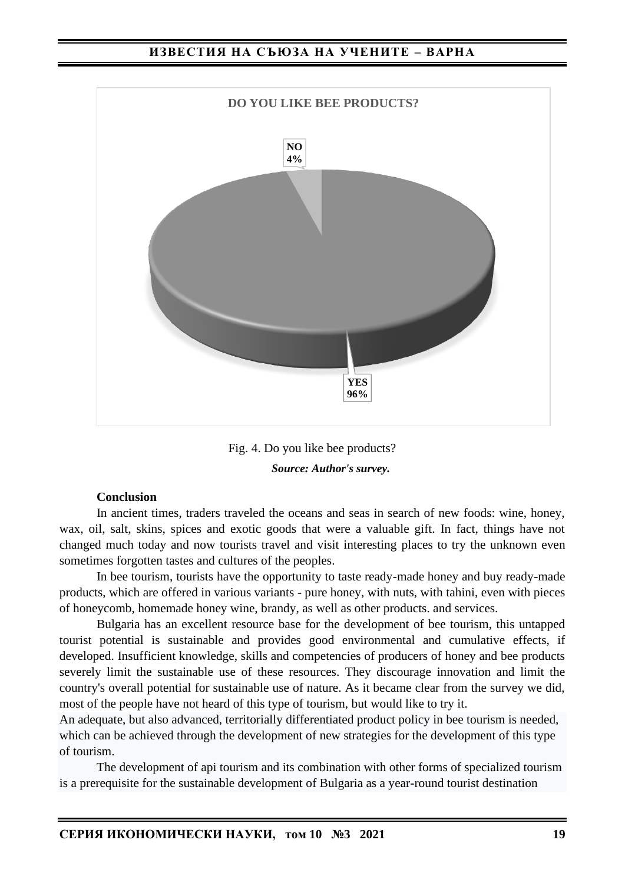### **ИЗВЕСТИЯ НА СЪЮЗА НА УЧЕНИТЕ – ВАРНА**



Fig. 4. Do you like bee products? *Source: Author's survey.*

#### **Conclusion**

In ancient times, traders traveled the oceans and seas in search of new foods: wine, honey, wax, oil, salt, skins, spices and exotic goods that were a valuable gift. In fact, things have not changed much today and now tourists travel and visit interesting places to try the unknown even sometimes forgotten tastes and cultures of the peoples.

In bee tourism, tourists have the opportunity to taste ready-made honey and buy ready-made products, which are offered in various variants - pure honey, with nuts, with tahini, even with pieces of honeycomb, homemade honey wine, brandy, as well as other products. and services.

Bulgaria has an excellent resource base for the development of bee tourism, this untapped tourist potential is sustainable and provides good environmental and cumulative effects, if developed. Insufficient knowledge, skills and competencies of producers of honey and bee products severely limit the sustainable use of these resources. They discourage innovation and limit the country's overall potential for sustainable use of nature. As it became clear from the survey we did, most of the people have not heard of this type of tourism, but would like to try it.

An adequate, but also advanced, territorially differentiated product policy in bee tourism is needed, which can be achieved through the development of new strategies for the development of this type of tourism.

The development of api tourism and its combination with other forms of specialized tourism is a prerequisite for the sustainable development of Bulgaria as a year-round tourist destination